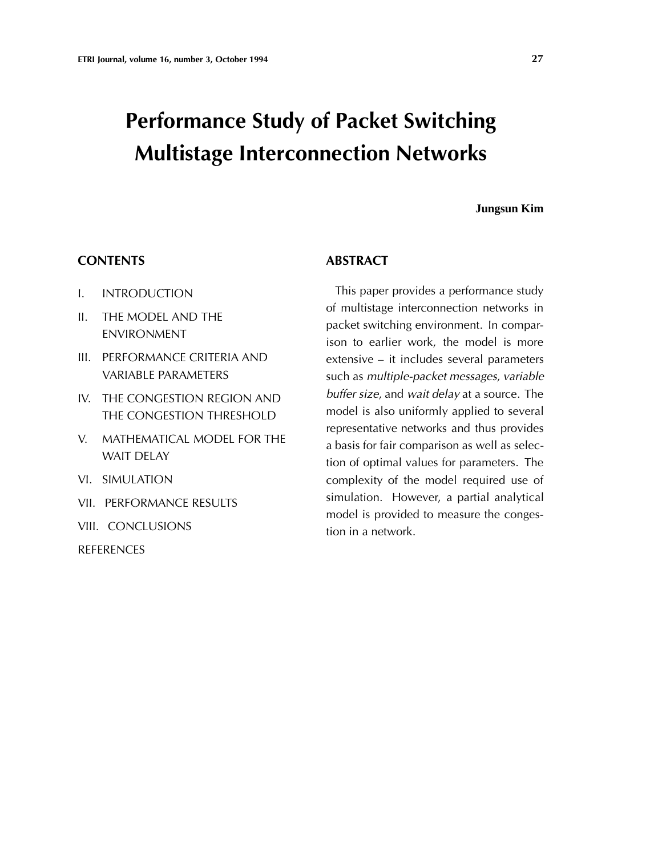# **Performance Study of Packet Switching Multistage Interconnection Networks**

#### **Jungsun Kim**

#### **CONTENTS**

- I. INTRODUCTION
- II. THE MODEL AND THE ENVIRONMENT
- III. PERFORMANCE CRITERIA AND VARIABLE PARAMETERS
- IV. THE CONGESTION REGION AND THE CONGESTION THRESHOLD
- V. MATHEMATICAL MODEL FOR THE WAIT DELAY
- VI. SIMULATION
- VII. PERFORMANCE RESULTS
- VIII. CONCLUSIONS

**REFERENCES** 

## **ABSTRACT**

This paper provides a performance study of multistage interconnection networks in packet switching environment. In comparison to earlier work, the model is more extensive – it includes several parameters such as *multiple-packet messages*, *variable buffer size*, and *wait delay* at a source. The model is also uniformly applied to several representative networks and thus provides a basis for fair comparison as well as selection of optimal values for parameters. The complexity of the model required use of simulation. However, a partial analytical model is provided to measure the congestion in a network.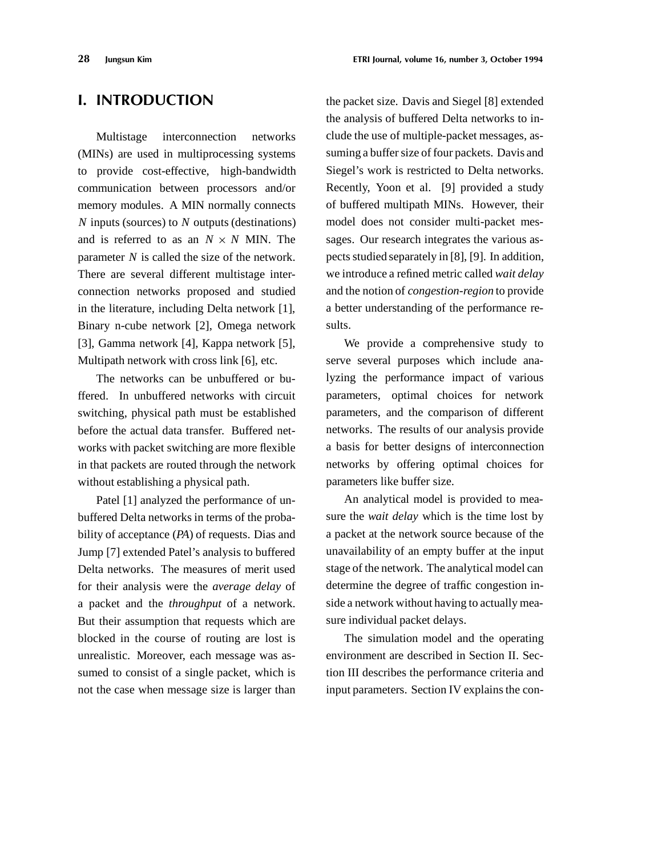## **I. INTRODUCTION**

Multistage interconnection networks (MINs) are used in multiprocessing systems to provide cost-effective, high-bandwidth communication between processors and/or memory modules. A MIN normally connects *N* inputs (sources) to *N* outputs (destinations) and is referred to as an  $N \times N$  MIN. The parameter *N* is called the size of the network. There are several different multistage interconnection networks proposed and studied in the literature, including Delta network [1], Binary n-cube network [2], Omega network [3], Gamma network [4], Kappa network [5], Multipath network with cross link [6], etc.

The networks can be unbuffered or buffered. In unbuffered networks with circuit switching, physical path must be established before the actual data transfer. Buffered networks with packet switching are more flexible in that packets are routed through the network without establishing a physical path.

Patel [1] analyzed the performance of unbuffered Delta networks in terms of the probability of acceptance (*PA*) of requests. Dias and Jump [7] extended Patel's analysis to buffered Delta networks. The measures of merit used for their analysis were the *average delay* of a packet and the *throughput* of a network. But their assumption that requests which are blocked in the course of routing are lost is unrealistic. Moreover, each message was assumed to consist of a single packet, which is not the case when message size is larger than

the packet size. Davis and Siegel [8] extended the analysis of buffered Delta networks to include the use of multiple-packet messages, assuming a buffer size of four packets. Davis and Siegel's work is restricted to Delta networks. Recently, Yoon et al. [9] provided a study of buffered multipath MINs. However, their model does not consider multi-packet messages. Our research integrates the various aspects studied separately in [8], [9]. In addition, we introduce a refined metric called *wait delay* and the notion of *congestion-region* to provide a better understanding of the performance results.

We provide a comprehensive study to serve several purposes which include analyzing the performance impact of various parameters, optimal choices for network parameters, and the comparison of different networks. The results of our analysis provide a basis for better designs of interconnection networks by offering optimal choices for parameters like buffer size.

An analytical model is provided to measure the *wait delay* which is the time lost by a packet at the network source because of the unavailability of an empty buffer at the input stage of the network. The analytical model can determine the degree of traffic congestion inside a network without having to actually measure individual packet delays.

The simulation model and the operating environment are described in Section II. Section III describes the performance criteria and input parameters. Section IV explains the con-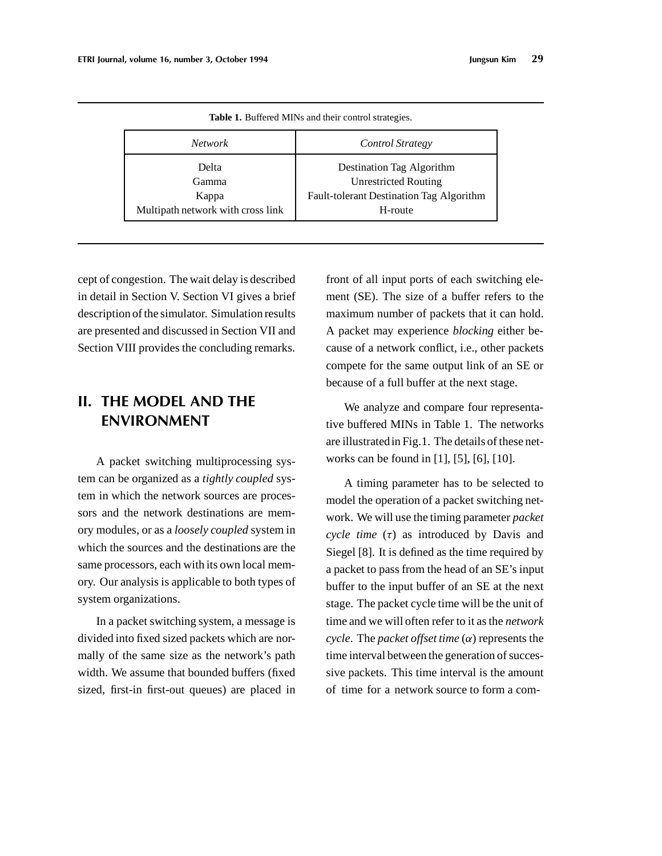| <i>Network</i>                    | <b>Control Strategy</b>                  |  |  |
|-----------------------------------|------------------------------------------|--|--|
| Delta                             | Destination Tag Algorithm                |  |  |
| Gamma                             | <b>Unrestricted Routing</b>              |  |  |
| Kappa                             | Fault-tolerant Destination Tag Algorithm |  |  |
| Multipath network with cross link | H-route                                  |  |  |

**Table 1.** Buffered MINs and their control strategies.

cept of congestion. The wait delay is described in detail in Section V. Section VI gives a brief description of the simulator. Simulation results are presented and discussed in Section VII and Section VIII provides the concluding remarks.

## **II. THE MODEL AND THE ENVIRONMENT**

A packet switching multiprocessing system can be organized as a *tightly coupled* system in which the network sources are processors and the network destinations are memory modules, or as a *loosely coupled* system in which the sources and the destinations are the same processors, each with its own local memory. Our analysis is applicable to both types of system organizations.

In a packet switching system, a message is divided into fixed sized packets which are normally of the same size as the network's path width. We assume that bounded buffers (fixed sized, first-in first-out queues) are placed in

front of all input ports of each switching element (SE). The size of a buffer refers to the maximum number of packets that it can hold. A packet may experience *blocking* either because of a network conflict, i.e., other packets compete for the same output link of an SE or because of a full buffer at the next stage.

We analyze and compare four representative buffered MINs in Table 1. The networks are illustratedin Fig.1. The details of these networks can be found in [1], [5], [6], [10].

A timing parameter has to be selected to model the operation of a packet switching network. We will use the timing parameter *packet cycle time*  $(\tau)$  as introduced by Davis and Siegel [8]. It is defined as the time required by a packet to pass from the head of an SE's input buffer to the input buffer of an SE at the next stage. The packet cycle time will be the unit of time and we will often refer to it as the *network*  $cycle.$  The *packet offset time*  $(\alpha)$  represents the time interval between the generation of successive packets. This time interval is the amount of time for a network source to form a com-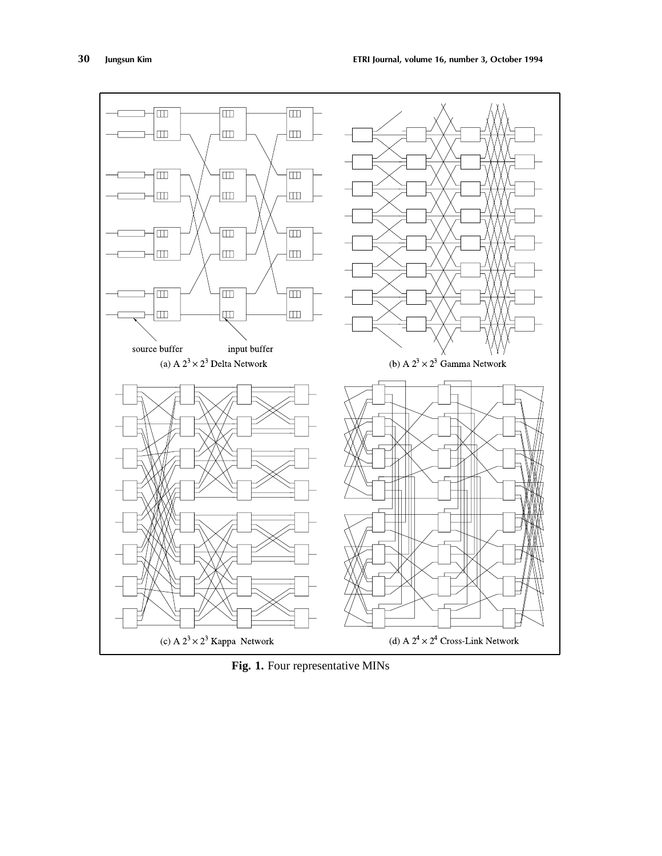

Fig. 1. Four representative MINs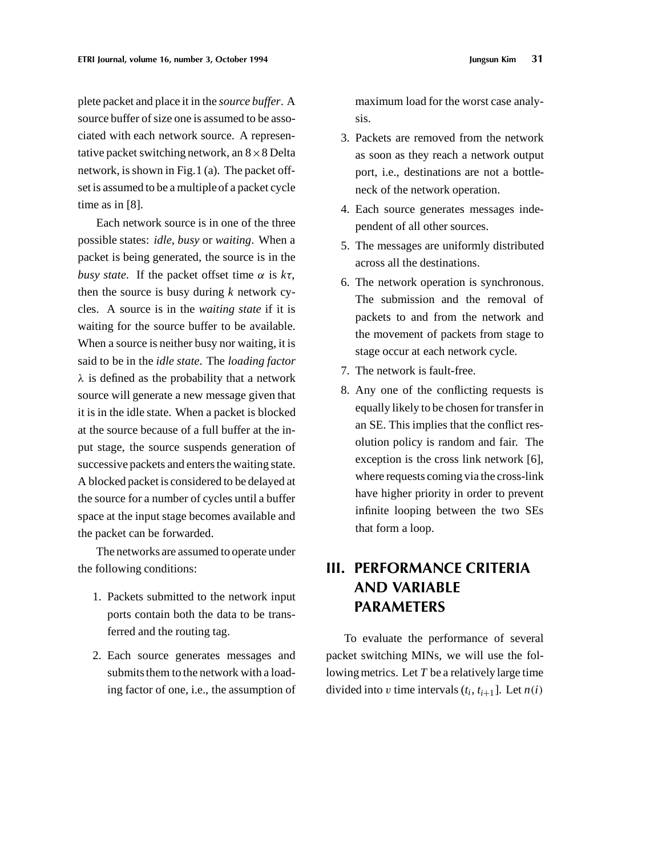plete packet and place it in the *source buffer*. A source buffer of size one is assumed to be associated with each network source. A representative packet switching network, an  $8 \times 8$  Delta network, is shown in Fig.1 (a). The packet offset is assumed to be a multiple of a packet cycle time as in [8].

Each network source is in one of the three possible states: *idle*, *busy* or *waiting*. When a packet is being generated, the source is in the *busy state*. If the packet offset time  $\alpha$  is  $k\tau$ , then the source is busy during *k* network cycles. A source is in the *waiting state* if it is waiting for the source buffer to be available. When a source is neither busy nor waiting, it is said to be in the *idle state*. The *loading factor*  $\lambda$  is defined as the probability that a network source will generate a new message given that it is in the idle state. When a packet is blocked at the source because of a full buffer at the input stage, the source suspends generation of successive packets and enters the waiting state. A blocked packet is considered to be delayed at the source for a number of cycles until a buffer space at the input stage becomes available and the packet can be forwarded.

The networks are assumed to operate under the following conditions:

- 1. Packets submitted to the network input ports contain both the data to be transferred and the routing tag.
- 2. Each source generates messages and submits them to the network with a loading factor of one, i.e., the assumption of

maximum load for the worst case analysis.

- 3. Packets are removed from the network as soon as they reach a network output port, i.e., destinations are not a bottleneck of the network operation.
- 4. Each source generates messages independent of all other sources.
- 5. The messages are uniformly distributed across all the destinations.
- 6. The network operation is synchronous. The submission and the removal of packets to and from the network and the movement of packets from stage to stage occur at each network cycle.
- 7. The network is fault-free.
- 8. Any one of the conflicting requests is equally likely to be chosen for transfer in an SE. This implies that the conflict resolution policy is random and fair. The exception is the cross link network [6], where requests coming via the cross-link have higher priority in order to prevent infinite looping between the two SEs that form a loop.

# **III. PERFORMANCE CRITERIA AND VARIABLE PARAMETERS**

To evaluate the performance of several packet switching MINs, we will use the following metrics. Let *T* be a relatively large time divided into v time intervals  $(t_i, t_{i+1}]$ . Let  $n(i)$ .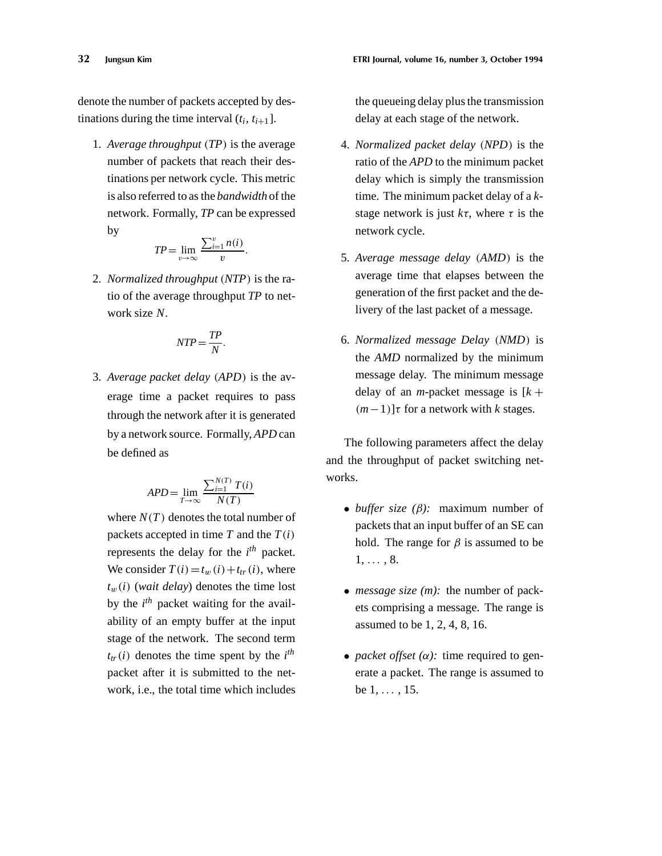denote the number of packets accepted by destinations during the time interval  $(t_i, t_{i+1})$ .

1. *Average throughput*  $(TP)$  is the average number of packets that reach their destinations per network cycle. This metric is also referred to as the *bandwidth* of the network. Formally, *TP* can be expressed by

$$
TP = \lim_{v \to \infty} \frac{\sum_{i=1}^{v} n(i)}{v}.
$$

2. *Normalized throughput* (NTP) is the ratio of the average throughput *TP* to network size *N*.

$$
NTP = \frac{TP}{N}.
$$

3. *Average packet delay* (APD) is the average time a packet requires to pass through the network after it is generated by a network source. Formally, *APD* can be defined as

$$
APD = \lim_{T \to \infty} \frac{\sum_{i=1}^{N(T)} T(i)}{N(T)}
$$

where  $N(T)$  denotes the total number of packets accepted in time  $T$  and the  $T(i)$ represents the delay for the *i th* packet. We consider  $T(i) = t_w(i) + t_{tr}(i)$ , where  $t_w(i)$  (*wait delay*) denotes the time lost by the *i th* packet waiting for the availability of an empty buffer at the input stage of the network. The second term  $t_{tr}(i)$  denotes the time spent by the  $i^{th}$ packet after it is submitted to the network, i.e., the total time which includes the queueing delay plus the transmission delay at each stage of the network.

- 4. *Normalized packet delay* (NPD) is the ratio of the *APD* to the minimum packet delay which is simply the transmission time. The minimum packet delay of a *k*stage network is just  $k\tau$ , where  $\tau$  is the network cycle.
- 5. *Average message delay*  $(AMD)$  is the average time that elapses between the generation of the first packet and the delivery of the last packet of a message.
- 6. *Normalized message Delay* .*NMD*/ is the *AMD* normalized by the minimum message delay. The minimum message delay of an *m*-packet message is  $[k +$  $(m-1)$ ] $\tau$  for a network with *k* stages.

The following parameters affect the delay and the throughput of packet switching networks.

- *buffer size*  $(\beta)$ : maximum number of packets that an input buffer of an SE can hold. The range for  $\beta$  is assumed to be  $1, \ldots, 8.$
- *message size (m):* the number of packets comprising a message. The range is assumed to be 1, 2, 4, 8, 16.
- *packet offset*  $(\alpha)$ : time required to generate a packet. The range is assumed to be  $1, \ldots, 15$ .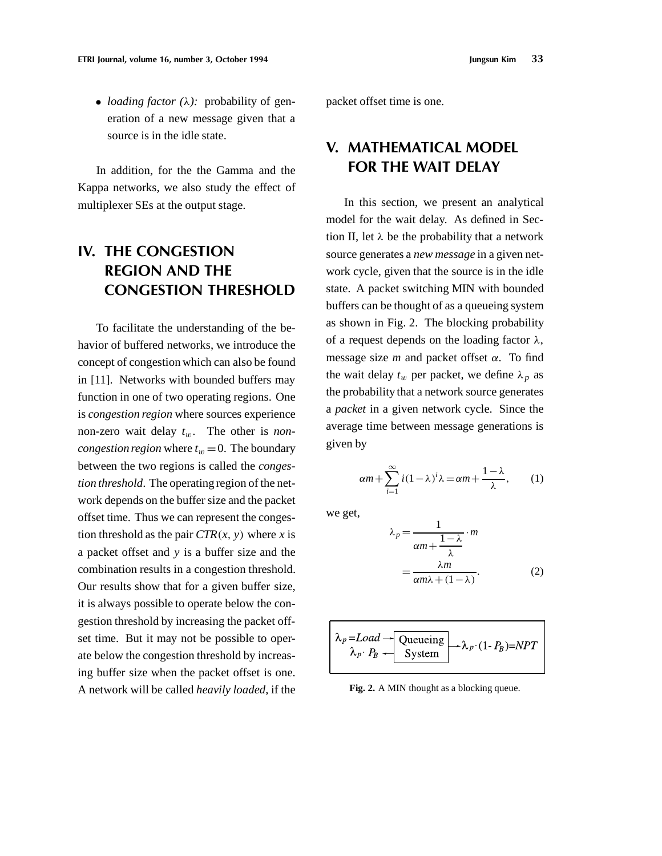• *loading factor*  $(\lambda)$ : probability of generation of a new message given that a source is in the idle state.

In addition, for the the Gamma and the Kappa networks, we also study the effect of multiplexer SEs at the output stage.

# **IV. THE CONGESTION REGION AND THE CONGESTION THRESHOLD**

To facilitate the understanding of the behavior of buffered networks, we introduce the concept of congestion which can also be found in [11]. Networks with bounded buffers may function in one of two operating regions. One is *congestion region* where sources experience non-zero wait delay  $t_w$ . The other is *noncongestion region* where  $t_w = 0$ . The boundary between the two regions is called the *congestion threshold*. The operating region of the network depends on the buffer size and the packet offset time. Thus we can represent the congestion threshold as the pair  $CTR(x, y)$  where *x* is a packet offset and *y* is a buffer size and the combination results in a congestion threshold. Our results show that for a given buffer size, it is always possible to operate below the congestion threshold by increasing the packet offset time. But it may not be possible to operate below the congestion threshold by increasing buffer size when the packet offset is one. A network will be called *heavily loaded*, if the

packet offset time is one.

# **V. MATHEMATICAL MODEL FOR THE WAIT DELAY**

In this section, we present an analytical model for the wait delay. As defined in Section II, let  $\lambda$  be the probability that a network source generates a *new message* in a given network cycle, given that the source is in the idle state. A packet switching MIN with bounded buffers can be thought of as a queueing system as shown in Fig. 2. The blocking probability of a request depends on the loading factor  $\lambda$ , message size  $m$  and packet offset  $\alpha$ . To find the wait delay  $t_w$  per packet, we define  $\lambda_p$  as the probability that a network source generates a *packet* in a given network cycle. Since the average time between message generations is given by

$$
\alpha m + \sum_{i=1}^{\infty} i(1-\lambda)^{i} \lambda = \alpha m + \frac{1-\lambda}{\lambda}, \qquad (1)
$$

we get,

$$
\lambda_p = \frac{1}{\alpha m + \frac{1 - \lambda}{\lambda}} \cdot m
$$

$$
= \frac{\lambda m}{\alpha m \lambda + (1 - \lambda)}.
$$
 (2)

$$
\lambda_p = Load \rightarrow \text{Queueing} \rightarrow \lambda_p \cdot (1 - P_B) = NPT
$$
  

$$
\lambda_p \cdot P_B \rightarrow \text{System}
$$

**Fig. 2.** A MIN thought as a blocking queue.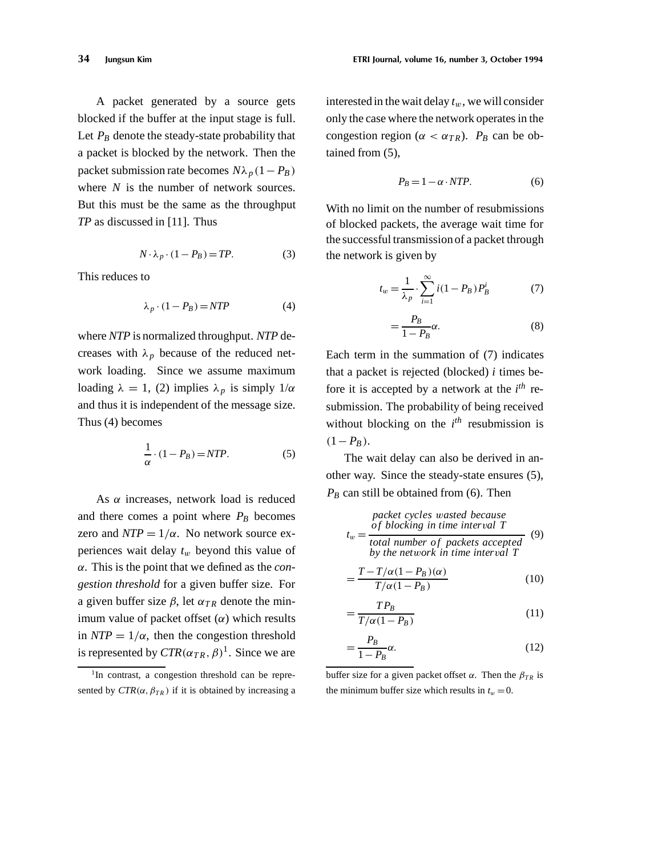A packet generated by a source gets blocked if the buffer at the input stage is full. Let  $P_B$  denote the steady-state probability that a packet is blocked by the network. Then the packet submission rate becomes  $N\lambda_p(1-P_B)$ where *N* is the number of network sources. But this must be the same as the throughput *TP* as discussed in [11]. Thus

$$
N \cdot \lambda_p \cdot (1 - P_B) = TP.
$$
 (3)

This reduces to

$$
\lambda_p \cdot (1 - P_B) = NTP \tag{4}
$$

where *NTP* is normalized throughput. *NTP* decreases with  $\lambda_p$  because of the reduced network loading. Since we assume maximum loading  $\lambda = 1$ , (2) implies  $\lambda_p$  is simply  $1/\alpha$ and thus it is independent of the message size. Thus (4) becomes

$$
\frac{1}{\alpha} \cdot (1 - P_B) = NTP.
$$
 (5)

As  $\alpha$  increases, network load is reduced and there comes a point where  $P_B$  becomes zero and  $NTP = 1/\alpha$ . No network source experiences wait delay  $t_w$  beyond this value of ˛. This is the point that we defined as the *congestion threshold* for a given buffer size. For a given buffer size  $\beta$ , let  $\alpha_{TR}$  denote the minimum value of packet offset  $(\alpha)$  which results in  $NTP = 1/\alpha$ , then the congestion threshold is represented by  $CTR(\alpha_{TR}, \beta)^1$ . Since we are

interested in the wait delay  $t_w$ , we will consider only the case where the network operates in the congestion region ( $\alpha < \alpha_{TR}$ ). *P<sub>B</sub>* can be obtained from (5),

$$
P_B = 1 - \alpha \cdot NTP. \tag{6}
$$

With no limit on the number of resubmissions of blocked packets, the average wait time for the successful transmission of a packet through the network is given by

$$
t_w = \frac{1}{\lambda_p} \cdot \sum_{i=1}^{\infty} i(1 - P_B) P_B^i
$$
 (7)

$$
=\frac{P_B}{1-P_B}\alpha.\tag{8}
$$

Each term in the summation of (7) indicates that a packet is rejected (blocked) *i* times before it is accepted by a network at the *i th* resubmission. The probability of being received without blocking on the  $i^{th}$  resubmission is  $(1 - P_B)$ .

The wait delay can also be derived in another way. Since the steady-state ensures (5),  $P_B$  can still be obtained from (6). Then

$$
t_w = \frac{packet \ cycles \ wasted \ because}{total \ number \ of \ packets \ accepted} \tag{9}
$$
  
by the network in time interval T

$$
=\frac{T - T/\alpha (1 - P_B)(\alpha)}{T/\alpha (1 - P_B)}
$$
(10)

$$
=\frac{TP_B}{T/\alpha(1-P_B)}\tag{11}
$$

$$
=\frac{P_B}{1-P_B}\alpha.\tag{12}
$$

buffer size for a given packet offset  $\alpha$ . Then the  $\beta_{TR}$  is the minimum buffer size which results in  $t_w = 0$ .

 $1$ In contrast, a congestion threshold can be represented by  $CTR(\alpha, \beta_{TR})$  if it is obtained by increasing a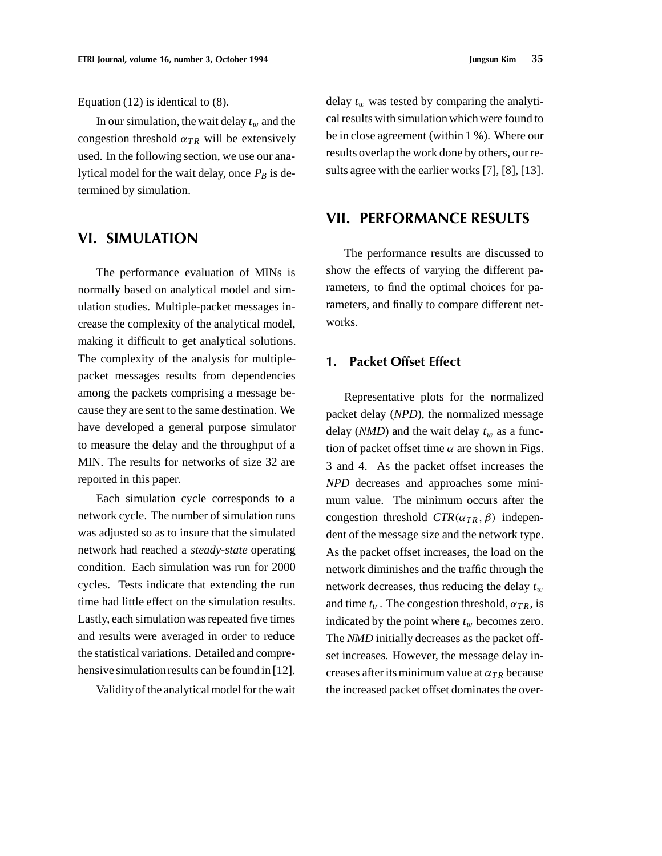Equation (12) is identical to (8).

In our simulation, the wait delay  $t_w$  and the congestion threshold  $\alpha_{TR}$  will be extensively used. In the following section, we use our analytical model for the wait delay, once  $P_B$  is determined by simulation.

## **VI. SIMULATION**

The performance evaluation of MINs is normally based on analytical model and simulation studies. Multiple-packet messages increase the complexity of the analytical model, making it difficult to get analytical solutions. The complexity of the analysis for multiplepacket messages results from dependencies among the packets comprising a message because they are sent to the same destination. We have developed a general purpose simulator to measure the delay and the throughput of a MIN. The results for networks of size 32 are reported in this paper.

Each simulation cycle corresponds to a network cycle. The number of simulation runs was adjusted so as to insure that the simulated network had reached a *steady-state* operating condition. Each simulation was run for 2000 cycles. Tests indicate that extending the run time had little effect on the simulation results. Lastly, each simulation was repeated five times and results were averaged in order to reduce the statistical variations. Detailed and comprehensive simulation results can be found in [12].

Validityof the analytical model for the wait

delay  $t_w$  was tested by comparing the analytical results with simulation which were found to be in close agreement (within 1 %). Where our results overlap the work done by others, our results agree with the earlier works [7], [8], [13].

## **VII. PERFORMANCE RESULTS**

The performance results are discussed to show the effects of varying the different parameters, to find the optimal choices for parameters, and finally to compare different networks.

#### **1. Packet Offset Effect**

Representative plots for the normalized packet delay (*NPD*), the normalized message delay ( $NMD$ ) and the wait delay  $t_w$  as a function of packet offset time  $\alpha$  are shown in Figs. 3 and 4. As the packet offset increases the *NPD* decreases and approaches some minimum value. The minimum occurs after the congestion threshold  $CTR(\alpha_{TR}, \beta)$  independent of the message size and the network type. As the packet offset increases, the load on the network diminishes and the traffic through the network decreases, thus reducing the delay  $t_w$ and time  $t_{tr}$ . The congestion threshold,  $\alpha_{TR}$ , is indicated by the point where  $t_w$  becomes zero. The *NMD* initially decreases as the packet offset increases. However, the message delay increases after its minimum value at  $\alpha_{TR}$  because the increased packet offset dominates the over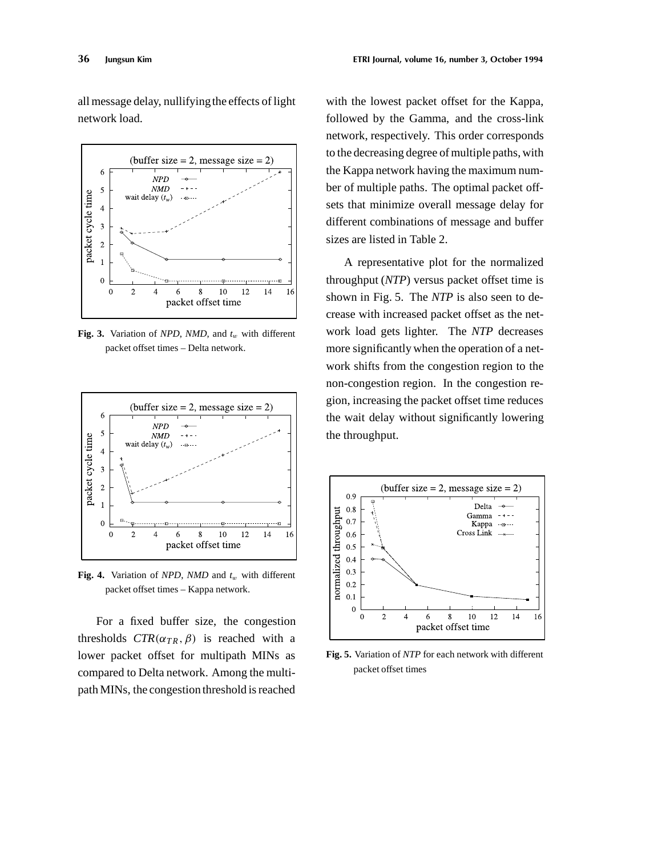all message delay, nullifyingthe effects of light network load.



**Fig. 3.** Variation of *NPD*, *NMD*, and  $t_w$  with different packet offset times – Delta network.



**Fig. 4.** Variation of *NPD*, *NMD* and  $t_w$  with different packet offset times – Kappa network.

For a fixed buffer size, the congestion thresholds  $CTR(\alpha_{TR}, \beta)$  is reached with a lower packet offset for multipath MINs as compared to Delta network. Among the multipath MINs, the congestion threshold is reached

with the lowest packet offset for the Kappa, followed by the Gamma, and the cross-link network, respectively. This order corresponds to the decreasing degree of multiple paths, with the Kappa network having the maximum number of multiple paths. The optimal packet offsets that minimize overall message delay for different combinations of message and buffer sizes are listed in Table 2.

A representative plot for the normalized throughput (*NTP*) versus packet offset time is shown in Fig. 5. The *NTP* is also seen to decrease with increased packet offset as the network load gets lighter. The *NTP* decreases more significantly when the operation of a network shifts from the congestion region to the non-congestion region. In the congestion region, increasing the packet offset time reduces the wait delay without significantly lowering the throughput.



**Fig. 5.** Variation of *NTP* for each network with different packet offset times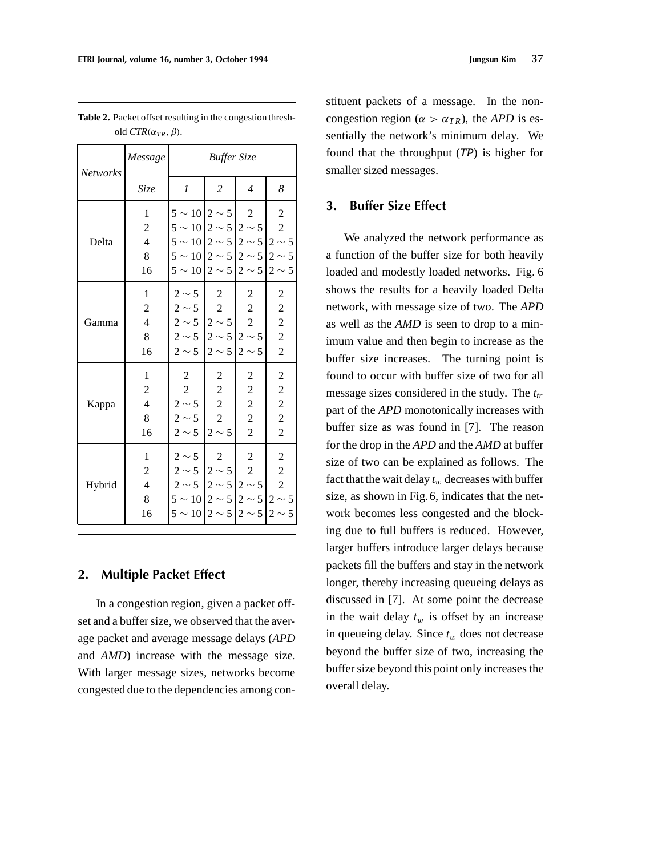| <b>Networks</b> | Message                                                           | <b>Buffer Size</b>                                                                                                                                                                                            |                                                                       |                                                                                    |                                                                                                          |  |  |
|-----------------|-------------------------------------------------------------------|---------------------------------------------------------------------------------------------------------------------------------------------------------------------------------------------------------------|-----------------------------------------------------------------------|------------------------------------------------------------------------------------|----------------------------------------------------------------------------------------------------------|--|--|
|                 | Size                                                              | 1                                                                                                                                                                                                             | 2                                                                     | $\overline{4}$                                                                     | 8                                                                                                        |  |  |
| Delta           | 1<br>$\boldsymbol{2}$<br>$\overline{4}$<br>8<br>16                | $5 \sim 10   2 \sim 5$<br>$5 \sim 10   2 \sim 5   2 \sim 5  $<br>$5 \sim 10   2 \sim 5   2 \sim 5   2 \sim 5$<br>$5 \sim 10   2 \sim 5   2 \sim 5   2 \sim 5$<br>$5 \sim 10   2 \sim 5   2 \sim 5   2 \sim 5$ |                                                                       | $\boldsymbol{2}$                                                                   | $\overline{c}$<br>$\sqrt{2}$                                                                             |  |  |
| Gamma           | 1<br>$\overline{c}$<br>$\overline{4}$<br>8<br>16                  | $2 \sim 5$<br>$2 \sim 5$<br>$2 \sim 5$ $ 2 \sim 5 $<br>$2 \sim 5$ 2 $\sim 5$ 2 $\sim 5$<br>$2 \sim 5$ $ 2 \sim 5 $ $2 \sim 5$                                                                                 | $\overline{c}$<br>$\overline{c}$                                      | 2<br>$\overline{c}$<br>$\overline{c}$                                              | $\overline{c}$<br>$\overline{\mathbf{c}}$<br>$\overline{\mathbf{c}}$<br>$\overline{c}$<br>$\overline{c}$ |  |  |
| Kappa           | $\mathbf{1}$<br>$\overline{c}$<br>$\overline{4}$<br>8<br>16       | $\overline{c}$<br>$\mathbf{2}$<br>$2 \sim 5$<br>$2 \sim 5$<br>$2 \sim 5$                                                                                                                                      | 2<br>$\overline{c}$<br>$\boldsymbol{2}$<br>$\overline{c}$<br>$2\sim5$ | 2<br>$\overline{c}$<br>$\overline{\mathbf{c}}$<br>$\overline{c}$<br>$\overline{c}$ | $\overline{c}$<br>$\overline{\mathbf{c}}$<br>$\overline{c}$<br>$\overline{c}$<br>$\overline{c}$          |  |  |
| Hybrid          | $\mathbf{1}$<br>$\overline{c}$<br>$\overline{4}$<br>$\,8\,$<br>16 | $2 \sim 5$<br>$2 \sim 5$ 2 $\sim 5$<br>$2 \sim 5$   $2 \sim 5$   $2 \sim 5$  <br>$5 \sim 10   2 \sim 5   2 \sim 5   2 \sim 5$<br>$5 \sim 10   2 \sim 5   2 \sim 5   2 \sim 5$                                 | $\overline{c}$                                                        | $\boldsymbol{2}$<br>$\overline{c}$                                                 | $\overline{\mathbf{c}}$<br>$\overline{c}$<br>$\overline{c}$                                              |  |  |

**Table 2.** Packet offset resulting in the congestion threshold  $CTR(\alpha_{TR}, \beta)$ .

#### **2. Multiple Packet Effect**

In a congestion region, given a packet offset and a buffer size, we observed that the average packet and average message delays (*APD* and *AMD*) increase with the message size. With larger message sizes, networks become congested due to the dependencies among constituent packets of a message. In the noncongestion region ( $\alpha > \alpha_{TR}$ ), the *APD* is essentially the network's minimum delay. We found that the throughput (*TP*) is higher for smaller sized messages.

#### **3. Buffer Size Effect**

We analyzed the network performance as a function of the buffer size for both heavily loaded and modestly loaded networks. Fig. 6 shows the results for a heavily loaded Delta network, with message size of two. The *APD* as well as the *AMD* is seen to drop to a minimum value and then begin to increase as the buffer size increases. The turning point is found to occur with buffer size of two for all message sizes considered in the study. The  $t_{tr}$ part of the *APD* monotonically increases with buffer size as was found in [7]. The reason for the drop in the *APD* and the *AMD* at buffer size of two can be explained as follows. The fact that the wait delay  $t_w$  decreases with buffer size, as shown in Fig.6, indicates that the network becomes less congested and the blocking due to full buffers is reduced. However, larger buffers introduce larger delays because packets fill the buffers and stay in the network longer, thereby increasing queueing delays as discussed in [7]. At some point the decrease in the wait delay  $t_w$  is offset by an increase in queueing delay. Since  $t_w$  does not decrease beyond the buffer size of two, increasing the buffer size beyond this point only increases the overall delay.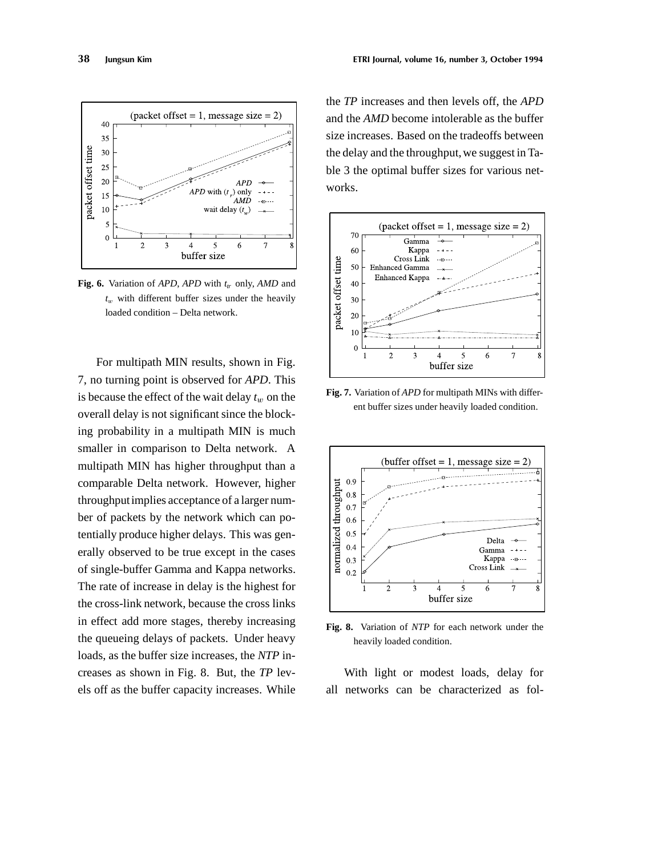

**Fig. 6.** Variation of *APD*, *APD* with  $t<sub>r</sub>$  only, *AMD* and  $t_w$  with different buffer sizes under the heavily loaded condition – Delta network.

For multipath MIN results, shown in Fig. 7, no turning point is observed for *APD*. This is because the effect of the wait delay  $t_w$  on the overall delay is not significant since the blocking probability in a multipath MIN is much smaller in comparison to Delta network. A multipath MIN has higher throughput than a comparable Delta network. However, higher throughputimplies acceptance of a larger number of packets by the network which can potentially produce higher delays. This was generally observed to be true except in the cases of single-buffer Gamma and Kappa networks. The rate of increase in delay is the highest for the cross-link network, because the cross links in effect add more stages, thereby increasing the queueing delays of packets. Under heavy loads, as the buffer size increases, the *NTP* increases as shown in Fig. 8. But, the *TP* levels off as the buffer capacity increases. While

the *TP* increases and then levels off, the *APD* and the *AMD* become intolerable as the buffer size increases. Based on the tradeoffs between the delay and the throughput, we suggest in Table 3 the optimal buffer sizes for various networks.



**Fig. 7.** Variation of *APD* for multipath MINs with different buffer sizes under heavily loaded condition.



**Fig. 8.** Variation of *NTP* for each network under the heavily loaded condition.

With light or modest loads, delay for all networks can be characterized as fol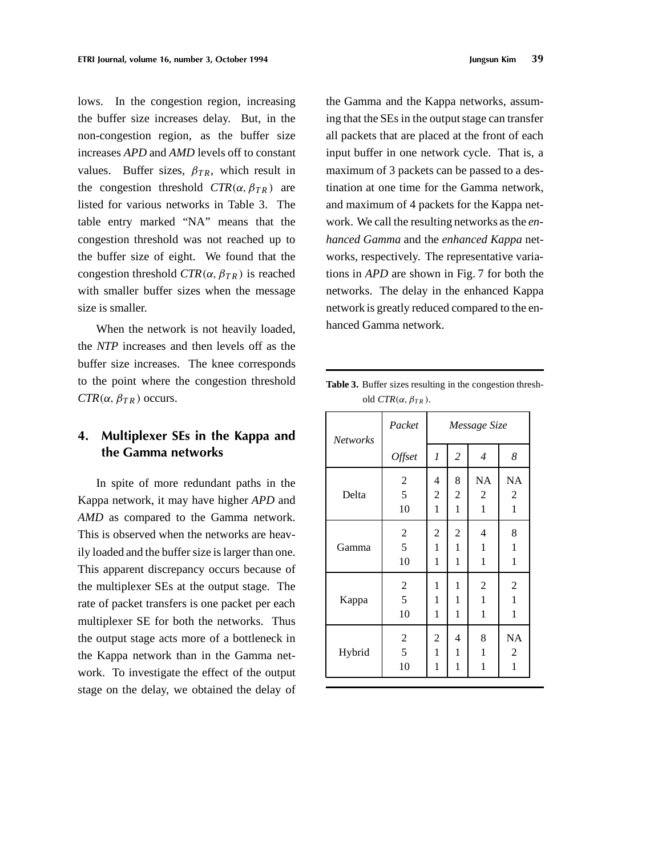lows. In the congestion region, increasing the buffer size increases delay. But, in the non-congestion region, as the buffer size increases *APD* and *AMD* levels off to constant values. Buffer sizes,  $\beta_{TR}$ , which result in the congestion threshold  $CTR(\alpha, \beta_{TR})$  are listed for various networks in Table 3. The table entry marked "NA" means that the congestion threshold was not reached up to the buffer size of eight. We found that the congestion threshold  $CTR(\alpha, \beta_{TR})$  is reached with smaller buffer sizes when the message size is smaller.

When the network is not heavily loaded, the *NTP* increases and then levels off as the buffer size increases. The knee corresponds to the point where the congestion threshold  $CTR(\alpha, \beta_{TR})$  occurs.

## **4. Multiplexer SEs in the Kappa and the Gamma networks**

In spite of more redundant paths in the Kappa network, it may have higher *APD* and *AMD* as compared to the Gamma network. This is observed when the networks are heavily loaded and the buffer size is larger than one. This apparent discrepancy occurs because of the multiplexer SEs at the output stage. The rate of packet transfers is one packet per each multiplexer SE for both the networks. Thus the output stage acts more of a bottleneck in the Kappa network than in the Gamma network. To investigate the effect of the output stage on the delay, we obtained the delay of the Gamma and the Kappa networks, assuming that the SEs in the output stage can transfer all packets that are placed at the front of each input buffer in one network cycle. That is, a maximum of 3 packets can be passed to a destination at one time for the Gamma network, and maximum of 4 packets for the Kappa network. We call the resulting networks as the *enhanced Gamma* and the *enhanced Kappa* networks, respectively. The representative variations in *APD* are shown in Fig. 7 for both the networks. The delay in the enhanced Kappa network is greatly reduced compared to the enhanced Gamma network.

|                 | old $CIR(\alpha, p_{TR})$ . |                          |                |                |                  |  |
|-----------------|-----------------------------|--------------------------|----------------|----------------|------------------|--|
| <b>Networks</b> | Packet                      | Message Size             |                |                |                  |  |
|                 | Offset                      | 1                        | 2              | $\overline{4}$ | 8                |  |
|                 | $\sqrt{2}$                  | $\overline{\mathcal{A}}$ | 8              | <b>NA</b>      | <b>NA</b>        |  |
| Delta           | 5                           | $\overline{c}$           | $\overline{c}$ | 2              | $\overline{2}$   |  |
|                 | 10                          | 1                        | $\mathbf{1}$   | 1              | $\mathbf{1}$     |  |
|                 | $\boldsymbol{2}$            | $\sqrt{2}$               | $\mathfrak 2$  | 4              | 8                |  |
| Gamma           | 5                           | 1                        | 1              | 1              | 1                |  |
|                 | 10                          | 1                        | 1              | 1              | $\mathbf{1}$     |  |
| Kappa           | $\boldsymbol{2}$            | 1                        | 1              | $\overline{c}$ | $\boldsymbol{2}$ |  |
|                 | 5                           | 1                        | 1              | 1              | 1                |  |
|                 | 10                          | 1                        | 1              | 1              | 1                |  |
|                 | $\overline{2}$              | $\overline{2}$           | 4              | 8              | <b>NA</b>        |  |

Hybrid  $\begin{array}{|c|c|c|c|c|c|c|c|c|} \hline 5 & 1 & 1 & 1 & 2 \ \hline \end{array}$ 

 $10 \mid 1 \mid 1 \mid 1 \mid 1$ 

**Table 3.** Buffer sizes resulting in the congestion thresh- $T T C T R \left( \begin{array}{cc} a & b \end{array} \right)$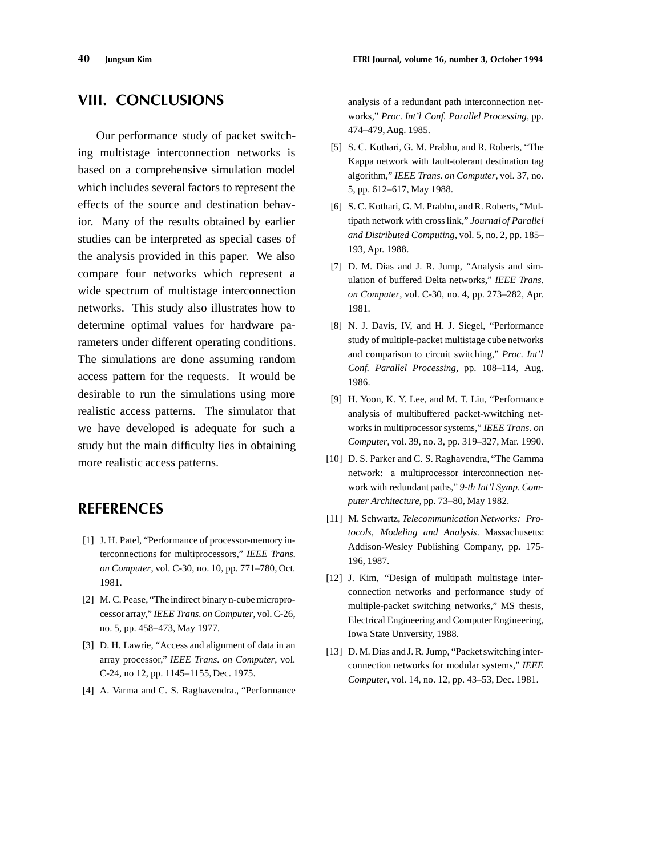## **VIII. CONCLUSIONS**

Our performance study of packet switching multistage interconnection networks is based on a comprehensive simulation model which includes several factors to represent the effects of the source and destination behavior. Many of the results obtained by earlier studies can be interpreted as special cases of the analysis provided in this paper. We also compare four networks which represent a wide spectrum of multistage interconnection networks. This study also illustrates how to determine optimal values for hardware parameters under different operating conditions. The simulations are done assuming random access pattern for the requests. It would be desirable to run the simulations using more realistic access patterns. The simulator that we have developed is adequate for such a study but the main difficulty lies in obtaining more realistic access patterns.

### **REFERENCES**

- [1] J. H. Patel, "Performance of processor-memory interconnections for multiprocessors," *IEEE Trans. on Computer*, vol. C-30, no. 10, pp. 771–780, Oct. 1981.
- [2] M. C. Pease, "The indirect binary n-cube microprocessorarray," *IEEE Trans.on Computer*, vol. C-26, no. 5, pp. 458–473, May 1977.
- [3] D. H. Lawrie, "Access and alignment of data in an array processor," *IEEE Trans. on Computer*, vol. C-24, no 12, pp. 1145–1155, Dec. 1975.
- [4] A. Varma and C. S. Raghavendra., "Performance

analysis of a redundant path interconnection networks," *Proc. Int'l Conf. Parallel Processing*, pp. 474–479, Aug. 1985.

- [5] S. C. Kothari, G. M. Prabhu, and R. Roberts, "The Kappa network with fault-tolerant destination tag algorithm," *IEEE Trans. on Computer*, vol. 37, no. 5, pp. 612–617, May 1988.
- [6] S. C. Kothari, G. M. Prabhu, and R. Roberts, "Multipath network with cross link," *Journalof Parallel and Distributed Computing*, vol. 5, no. 2, pp. 185– 193, Apr. 1988.
- [7] D. M. Dias and J. R. Jump, "Analysis and simulation of buffered Delta networks," *IEEE Trans. on Computer*, vol. C-30, no. 4, pp. 273–282, Apr. 1981.
- [8] N. J. Davis, IV, and H. J. Siegel, "Performance study of multiple-packet multistage cube networks and comparison to circuit switching," *Proc. Int'l Conf. Parallel Processing*, pp. 108–114, Aug. 1986.
- [9] H. Yoon, K. Y. Lee, and M. T. Liu, "Performance analysis of multibuffered packet-wwitching networks in multiprocessor systems," *IEEE Trans. on Computer*, vol. 39, no. 3, pp. 319–327, Mar. 1990.
- [10] D. S. Parker and C. S. Raghavendra, "The Gamma network: a multiprocessor interconnection network with redundant paths," *9-th Int'l Symp. Computer Architecture*, pp. 73–80, May 1982.
- [11] M. Schwartz, *Telecommunication Networks: Protocols, Modeling and Analysis*. Massachusetts: Addison-Wesley Publishing Company, pp. 175- 196, 1987.
- [12] J. Kim, "Design of multipath multistage interconnection networks and performance study of multiple-packet switching networks," MS thesis, Electrical Engineering and Computer Engineering, Iowa State University, 1988.
- [13] D. M. Dias and J. R. Jump, "Packet switching interconnection networks for modular systems," *IEEE Computer*, vol. 14, no. 12, pp. 43–53, Dec. 1981.